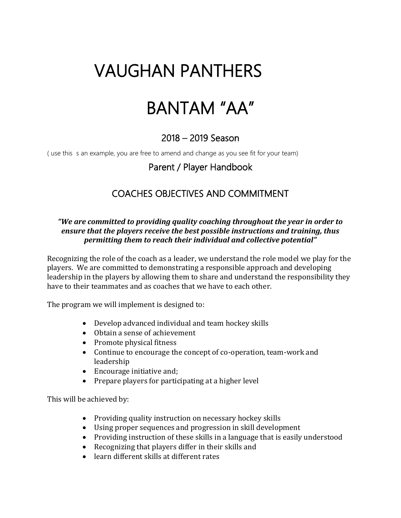# VAUGHAN PANTHERS

# BANTAM "AA"

# 2018 – 2019 Season

( use this s an example, you are free to amend and change as you see fit for your team)

# Parent / Player Handbook

# COACHES OBJECTIVES AND COMMITMENT

#### *"We are committed to providing quality coaching throughout the year in order to ensure that the players receive the best possible instructions and training, thus permitting them to reach their individual and collective potential"*

Recognizing the role of the coach as a leader, we understand the role model we play for the players. We are committed to demonstrating a responsible approach and developing leadership in the players by allowing them to share and understand the responsibility they have to their teammates and as coaches that we have to each other.

The program we will implement is designed to:

- Develop advanced individual and team hockey skills
- Obtain a sense of achievement
- Promote physical fitness
- Continue to encourage the concept of co-operation, team-work and leadership
- Encourage initiative and;
- Prepare players for participating at a higher level

This will be achieved by:

- Providing quality instruction on necessary hockey skills
- Using proper sequences and progression in skill development
- Providing instruction of these skills in a language that is easily understood
- Recognizing that players differ in their skills and
- learn different skills at different rates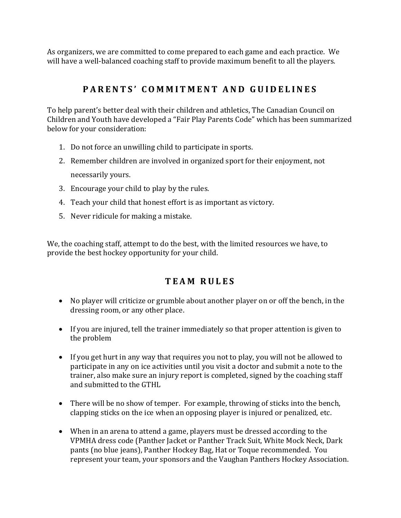As organizers, we are committed to come prepared to each game and each practice. We will have a well-balanced coaching staff to provide maximum benefit to all the players.

# PARENTS' COMMITMENT AND GUIDELINES

To help parent's better deal with their children and athletics, The Canadian Council on Children and Youth have developed a "Fair Play Parents Code" which has been summarized below for your consideration:

- 1. Do not force an unwilling child to participate in sports.
- 2. Remember children are involved in organized sport for their enjoyment, not necessarily yours.
- 3. Encourage your child to play by the rules.
- 4. Teach your child that honest effort is as important as victory.
- 5. Never ridicule for making a mistake.

We, the coaching staff, attempt to do the best, with the limited resources we have, to provide the best hockey opportunity for your child.

### **T E A M R U L E S**

- No player will criticize or grumble about another player on or off the bench, in the dressing room, or any other place.
- If you are injured, tell the trainer immediately so that proper attention is given to the problem
- If you get hurt in any way that requires you not to play, you will not be allowed to participate in any on ice activities until you visit a doctor and submit a note to the trainer, also make sure an injury report is completed, signed by the coaching staff and submitted to the GTHL
- There will be no show of temper. For example, throwing of sticks into the bench, clapping sticks on the ice when an opposing player is injured or penalized, etc.
- When in an arena to attend a game, players must be dressed according to the VPMHA dress code (Panther Jacket or Panther Track Suit, White Mock Neck, Dark pants (no blue jeans), Panther Hockey Bag, Hat or Toque recommended. You represent your team, your sponsors and the Vaughan Panthers Hockey Association.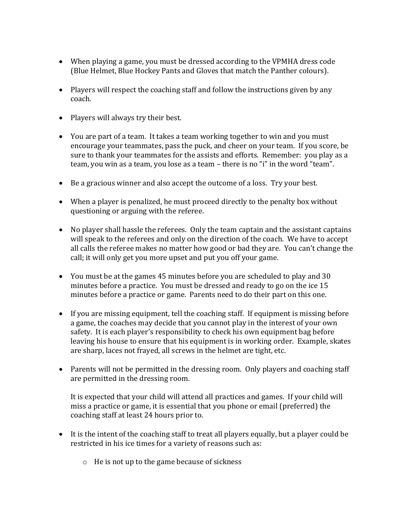- When playing a game, you must be dressed according to the VPMHA dress code (Blue Helmet, Blue Hockey Pants and Gloves that match the Panther colours).
- Players will respect the coaching staff and follow the instructions given by any coach.
- Players will always try their best.
- You are part of a team. It takes a team working together to win and you must encourage your teammates, pass the puck, and cheer on your team. If you score, be sure to thank your teammates for the assists and efforts. Remember: you play as a team, you win as a team, you lose as a team – there is no "i" in the word "team".
- Be a gracious winner and also accept the outcome of a loss. Try your best.
- When a player is penalized, he must proceed directly to the penalty box without questioning or arguing with the referee.
- No player shall hassle the referees. Only the team captain and the assistant captains will speak to the referees and only on the direction of the coach. We have to accept all calls the referee makes no matter how good or bad they are. You can't change the call; it will only get you more upset and put you off your game.
- You must be at the games 45 minutes before you are scheduled to play and 30 minutes before a practice. You must be dressed and ready to go on the ice 15 minutes before a practice or game. Parents need to do their part on this one.
- If you are missing equipment, tell the coaching staff. If equipment is missing before a game, the coaches may decide that you cannot play in the interest of your own safety. It is each player's responsibility to check his own equipment bag before leaving his house to ensure that his equipment is in working order. Example, skates are sharp, laces not frayed, all screws in the helmet are tight, etc.
- Parents will not be permitted in the dressing room. Only players and coaching staff are permitted in the dressing room.

It is expected that your child will attend all practices and games. If your child will miss a practice or game, it is essential that you phone or email (preferred) the coaching staff at least 24 hours prior to.

- It is the intent of the coaching staff to treat all players equally, but a player could be restricted in his ice times for a variety of reasons such as:
	- o He is not up to the game because of sickness